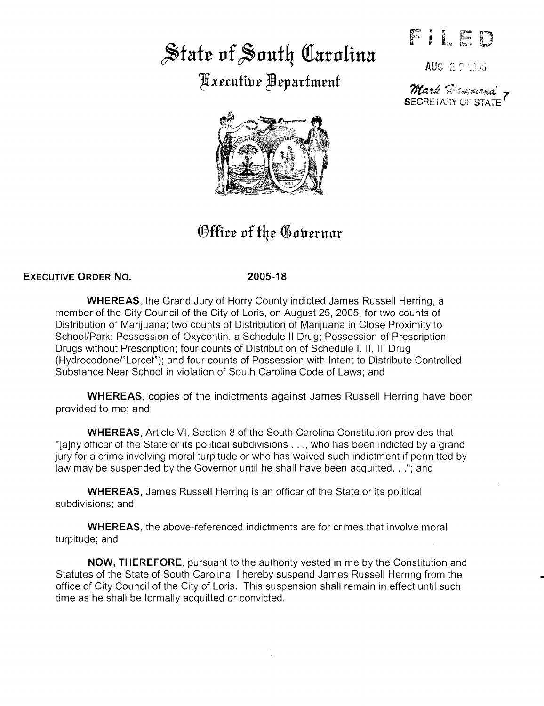# $\frac{1}{2}$ state of South Carolina

 $x$ erufiue Bepartment



# *<u>Office of the Governor</u>*

## **EXECUTIVE ORDER NO.**

#### **2005-18**

**WHEREAS,** the Grand Jury of Horry County indicted James Russell Herring, a member of the City Council of the City of Loris, on August 25, 2005, for two counts of Distribution of Marijuana; two counts of Distribution of Marijuana in Close Proximity to School/Park; Possession of Oxycontin, a Schedule II Drug; Possession of Prescription Drugs without Prescription; four counts of Distribution of Schedule I, II, Ill Drug (Hydrocodone/"Lorcet"); and four counts of Possession with Intent to Distribute Controlled Substance Near School in violation of South Carolina Code of Laws; and

**WHEREAS,** copies of the indictments against James Russell Herring have been provided to me; and

**WHEREAS,** Article VI, Section 8 of the South Carolina Constitution provides that "[a]ny officer of the State or its political subdivisions ... , who has been indicted by a grand jury for a crime involving moral turpitude or who has waived such indictment if permitted by law may be suspended by the Governor until he shall have been acquitted. . ."; and

**WHEREAS,** James Russell Herring is an officer of the State or its political subdivisions; and

**WHEREAS,** the above-referenced indictments are for crimes that involve moral turpitude; and

**NOW, THEREFORE.** pursuant to the authority vested in me by the Constitution and Statutes of the State of South Carolina, I hereby suspend James Russell Herring from the office of City Council of the City of Loris. This suspension shall remain in effect until such time as he shall be formally acquitted or convicted.

**AUG 2 9 2005** 

Mark Monsmored<br>SECRETARY OF STATE